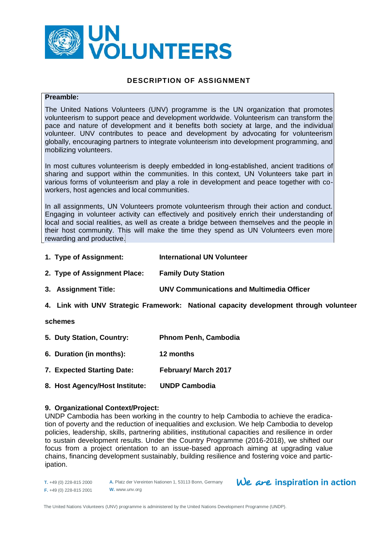

# **DESCRIPTION OF ASSIGNMENT**

#### **Preamble:**

The United Nations Volunteers (UNV) programme is the UN organization that promotes volunteerism to support peace and development worldwide. Volunteerism can transform the pace and nature of development and it benefits both society at large, and the individual volunteer. UNV contributes to peace and development by advocating for volunteerism globally, encouraging partners to integrate volunteerism into development programming, and mobilizing volunteers.

In most cultures volunteerism is deeply embedded in long-established, ancient traditions of sharing and support within the communities. In this context, UN Volunteers take part in various forms of volunteerism and play a role in development and peace together with coworkers, host agencies and local communities.

In all assignments, UN Volunteers promote volunteerism through their action and conduct. Engaging in volunteer activity can effectively and positively enrich their understanding of local and social realities, as well as create a bridge between themselves and the people in their host community. This will make the time they spend as UN Volunteers even more rewarding and productive.

- **1. Type of Assignment: International UN Volunteer**
- **2. Type of Assignment Place: Family Duty Station**
- **3. Assignment Title: UNV Communications and Multimedia Officer**
- **4. Link with UNV Strategic Framework: National capacity development through volunteer**

#### **schemes**

- **5. Duty Station, Country: Phnom Penh, Cambodia**
- **6. Duration (in months): 12 months**
- **7. Expected Starting Date: February/ March 2017**
- **8. Host Agency/Host Institute: UNDP Cambodia**

#### **9. Organizational Context/Project:**

UNDP Cambodia has been working in the country to help Cambodia to achieve the eradication of poverty and the reduction of inequalities and exclusion. We help Cambodia to develop policies, leadership, skills, partnering abilities, institutional capacities and resilience in order to sustain development results. Under the Country Programme (2016-2018), we shifted our focus from a project orientation to an issue-based approach aiming at upgrading value chains, financing development sustainably, building resilience and fostering voice and participation.

**A.** Platz der Vereinten Nationen 1, 53113 Bonn, Germany **W.** www.unv.org

# $We$  are inspiration in action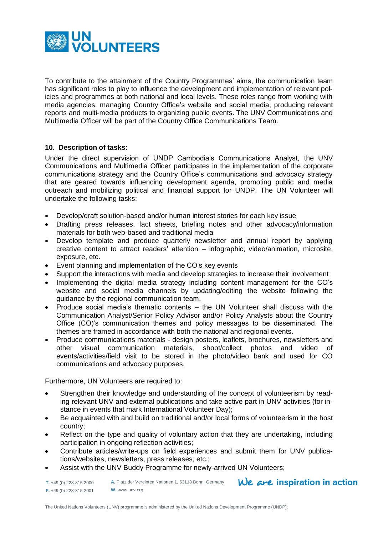

To contribute to the attainment of the Country Programmes' aims, the communication team has significant roles to play to influence the development and implementation of relevant policies and programmes at both national and local levels. These roles range from working with media agencies, managing Country Office's website and social media, producing relevant reports and multi-media products to organizing public events. The UNV Communications and Multimedia Officer will be part of the Country Office Communications Team.

# **10. Description of tasks:**

Under the direct supervision of UNDP Cambodia's Communications Analyst*,* the UNV Communications and Multimedia Officer participates in the implementation of the corporate communications strategy and the Country Office's communications and advocacy strategy that are geared towards influencing development agenda, promoting public and media outreach and mobilizing political and financial support for UNDP. The UN Volunteer will undertake the following tasks:

- Develop/draft solution-based and/or human interest stories for each key issue
- Drafting press releases, fact sheets, briefing notes and other advocacy/information materials for both web-based and traditional media
- Develop template and produce quarterly newsletter and annual report by applying creative content to attract readers' attention – infographic, video/animation, microsite, exposure, etc.
- Event planning and implementation of the CO's key events
- Support the interactions with media and develop strategies to increase their involvement
- Implementing the digital media strategy including content management for the CO's website and social media channels by updating/editing the website following the guidance by the regional communication team.
- Produce social media's thematic contents the UN Volunteer shall discuss with the Communication Analyst/Senior Policy Advisor and/or Policy Analysts about the Country Office (CO)'s communication themes and policy messages to be disseminated. The themes are framed in accordance with both the national and regional events.
- Produce communications materials design posters, leaflets, brochures, newsletters and other visual communication materials, shoot/collect photos and video of events/activities/field visit to be stored in the photo/video bank and used for CO communications and advocacy purposes.

Furthermore, UN Volunteers are required to:

- Strengthen their knowledge and understanding of the concept of volunteerism by reading relevant UNV and external publications and take active part in UNV activities (for instance in events that mark International Volunteer Day);
- Be acquainted with and build on traditional and/or local forms of volunteerism in the host country;
- Reflect on the type and quality of voluntary action that they are undertaking, including participation in ongoing reflection activities;
- Contribute articles/write-ups on field experiences and submit them for UNV publications/websites, newsletters, press releases, etc.;

We are inspiration in action

Assist with the UNV Buddy Programme for newly-arrived UN Volunteers;

**T.** +49 (0) 228-815 2000 **F.** +49 (0) 228-815 2001 **A.** Platz der Vereinten Nationen 1, 53113 Bonn, Germany **W.** www.unv.org

The United Nations Volunteers (UNV) programme is administered by the United Nations Development Programme (UNDP).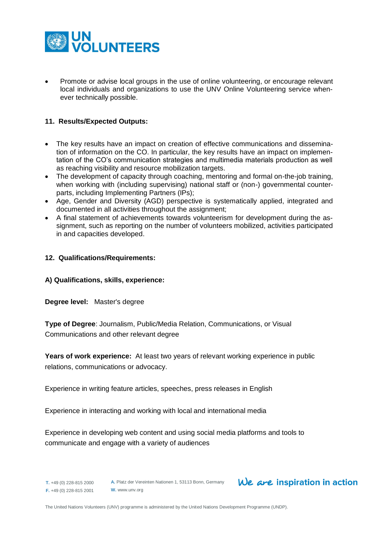

 Promote or advise local groups in the use of online volunteering, or encourage relevant local individuals and organizations to use the UNV Online Volunteering service whenever technically possible.

# **11. Results/Expected Outputs:**

- The key results have an impact on creation of effective communications and dissemination of information on the CO. In particular, the key results have an impact on implementation of the CO's communication strategies and multimedia materials production as well as reaching visibility and resource mobilization targets.
- The development of capacity through coaching, mentoring and formal on-the-job training, when working with (including supervising) national staff or (non-) governmental counterparts, including Implementing Partners (IPs);
- Age, Gender and Diversity (AGD) perspective is systematically applied, integrated and documented in all activities throughout the assignment;
- A final statement of achievements towards volunteerism for development during the assignment, such as reporting on the number of volunteers mobilized, activities participated in and capacities developed.

# **12. Qualifications/Requirements:**

#### **A) Qualifications, skills, experience:**

**Degree level:** Master's degree

**Type of Degree**: Journalism, Public/Media Relation, Communications, or Visual Communications and other relevant degree

**Years of work experience:** At least two years of relevant working experience in public relations, communications or advocacy.

Experience in writing feature articles, speeches, press releases in English

Experience in interacting and working with local and international media

Experience in developing web content and using social media platforms and tools to communicate and engage with a variety of audiences

**T.** +49 (0) 228-815 2000 **F.** +49 (0) 228-815 2001 **A.** Platz der Vereinten Nationen 1, 53113 Bonn, Germany **W.** www.unv.org

# We are inspiration in action

The United Nations Volunteers (UNV) programme is administered by the United Nations Development Programme (UNDP).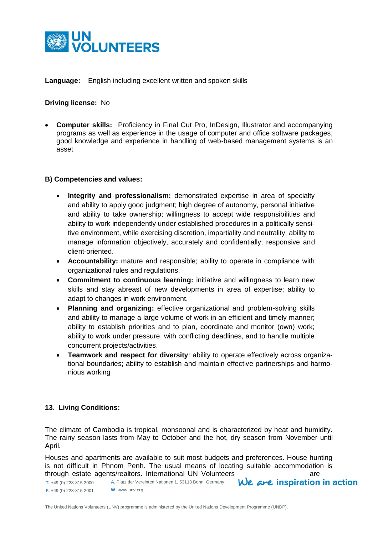

**Language:** English including excellent written and spoken skills

**Driving license:** No

 **Computer skills:** Proficiency in Final Cut Pro, InDesign, Illustrator and accompanying programs as well as experience in the usage of computer and office software packages, good knowledge and experience in handling of web-based management systems is an asset

# **B) Competencies and values:**

- **Integrity and professionalism:** demonstrated expertise in area of specialty and ability to apply good judgment; high degree of autonomy, personal initiative and ability to take ownership; willingness to accept wide responsibilities and ability to work independently under established procedures in a politically sensitive environment, while exercising discretion, impartiality and neutrality; ability to manage information objectively, accurately and confidentially; responsive and client-oriented.
- **Accountability:** mature and responsible; ability to operate in compliance with organizational rules and regulations.
- **Commitment to continuous learning:** initiative and willingness to learn new skills and stay abreast of new developments in area of expertise; ability to adapt to changes in work environment.
- **Planning and organizing:** effective organizational and problem-solving skills and ability to manage a large volume of work in an efficient and timely manner; ability to establish priorities and to plan, coordinate and monitor (own) work; ability to work under pressure, with conflicting deadlines, and to handle multiple concurrent projects/activities.
- **Teamwork and respect for diversity**: ability to operate effectively across organizational boundaries; ability to establish and maintain effective partnerships and harmonious working

# **13. Living Conditions:**

The climate of Cambodia is tropical, monsoonal and is characterized by heat and humidity. The rainy season lasts from May to October and the hot, dry season from November until April.

Houses and apartments are available to suit most budgets and preferences. House hunting is not difficult in Phnom Penh. The usual means of locating suitable accommodation is through estate agents/realtors. International UN Volunteers are We are inspiration in action

**T.** +49 (0) 228-815 2000 **F.** +49 (0) 228-815 2001 **A.** Platz der Vereinten Nationen 1, 53113 Bonn, Germany **W.** www.unv.org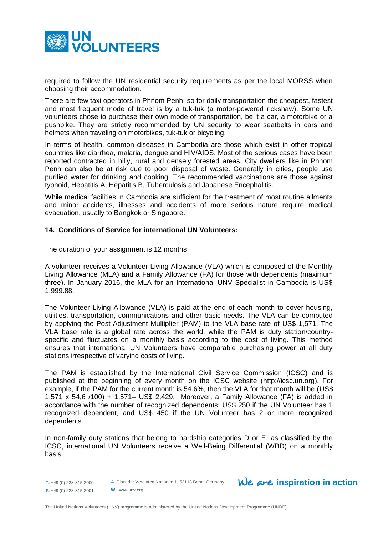

required to follow the UN residential security requirements as per the local MORSS when choosing their accommodation.

There are few taxi operators in Phnom Penh, so for daily transportation the cheapest, fastest and most frequent mode of travel is by a tuk-tuk (a motor-powered rickshaw). Some UN volunteers chose to purchase their own mode of transportation, be it a car, a motorbike or a pushbike. They are strictly recommended by UN security to wear seatbelts in cars and helmets when traveling on motorbikes, tuk-tuk or bicycling.

In terms of health, common diseases in Cambodia are those which exist in other tropical countries like diarrhea, malaria, dengue and HIV/AIDS. Most of the serious cases have been reported contracted in hilly, rural and densely forested areas. City dwellers like in Phnom Penh can also be at risk due to poor disposal of waste. Generally in cities, people use purified water for drinking and cooking. The recommended vaccinations are those against typhoid, Hepatitis A, Hepatitis B, Tuberculosis and Japanese Encephalitis.

While medical facilities in Cambodia are sufficient for the treatment of most routine ailments and minor accidents, illnesses and accidents of more serious nature require medical evacuation, usually to Bangkok or Singapore.

# **14. Conditions of Service for international UN Volunteers:**

The duration of your assignment is 12 months.

A volunteer receives a Volunteer Living Allowance (VLA) which is composed of the Monthly Living Allowance (MLA) and a Family Allowance (FA) for those with dependents (maximum three). In January 2016, the MLA for an International UNV Specialist in Cambodia is US\$ 1,999.88.

The Volunteer Living Allowance (VLA) is paid at the end of each month to cover housing, utilities, transportation, communications and other basic needs. The VLA can be computed by applying the Post-Adjustment Multiplier (PAM) to the VLA base rate of US\$ 1,571. The VLA base rate is a global rate across the world, while the PAM is duty station/countryspecific and fluctuates on a monthly basis according to the cost of living. This method ensures that international UN Volunteers have comparable purchasing power at all duty stations irrespective of varying costs of living.

The PAM is established by the International Civil Service Commission (ICSC) and is published at the beginning of every month on the ICSC website [\(http://icsc.un.org\)](http://icsc.un.org/). For example, if the PAM for the current month is 54.6%, then the VLA for that month will be (US\$ 1,571 x 54,6 /100) + 1,571= US\$ 2,429. Moreover, a Family Allowance (FA) is added in accordance with the number of recognized dependents: US\$ 250 if the UN Volunteer has 1 recognized dependent, and US\$ 450 if the UN Volunteer has 2 or more recognized dependents.

In non-family duty stations that belong to hardship categories D or E, as classified by the ICSC, international UN Volunteers receive a Well-Being Differential (WBD) on a monthly basis.

**A.** Platz der Vereinten Nationen 1, 53113 Bonn, Germany **W.** www.unv.org

We are inspiration in action

**T.** +49 (0) 228-815 2000 **F.** +49 (0) 228-815 2001